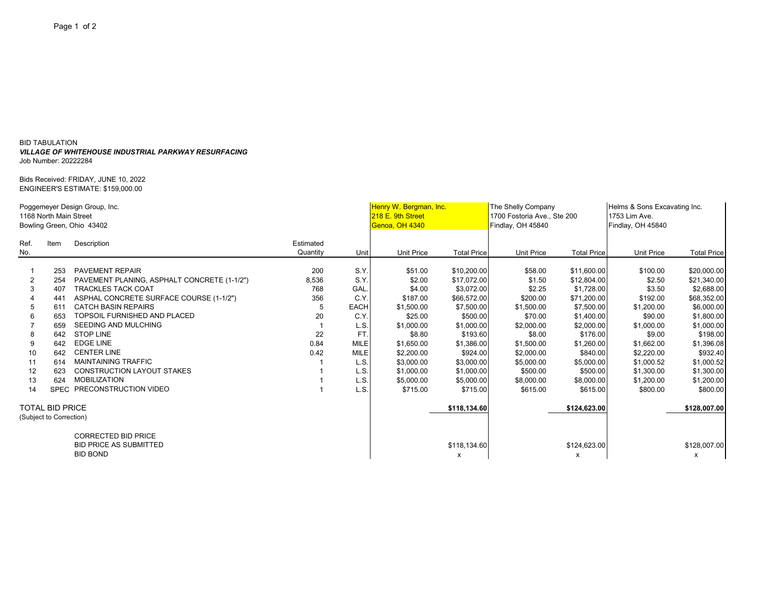## BID TABULATION *VILLAGE OF WHITEHOUSE INDUSTRIAL PARKWAY RESURFACING* Job Number: 20222284

Bids Received: FRIDAY, JUNE 10, 2022 ENGINEER'S ESTIMATE: \$159,000.00

| Poggemeyer Design Group, Inc.<br>1168 North Main Street |                         |                                             |                |             | Henry W. Bergman, Inc.<br>218 E. 9th Street |                    | The Shelly Company<br>1700 Fostoria Ave., Ste 200 |                    | Helms & Sons Excavating Inc.<br>1753 Lim Ave. |                           |
|---------------------------------------------------------|-------------------------|---------------------------------------------|----------------|-------------|---------------------------------------------|--------------------|---------------------------------------------------|--------------------|-----------------------------------------------|---------------------------|
|                                                         |                         | Bowling Green, Ohio 43402                   | Genoa, OH 4340 |             | Findlay, OH 45840                           |                    | Findlay, OH 45840                                 |                    |                                               |                           |
| Ref.                                                    | Item                    | Description                                 | Estimated      |             |                                             |                    |                                                   |                    |                                               |                           |
| No.                                                     |                         |                                             | Quantity       | Unit        | <b>Unit Price</b>                           | <b>Total Price</b> | <b>Unit Price</b>                                 | <b>Total Price</b> | <b>Unit Price</b>                             | <b>Total Price</b>        |
|                                                         |                         |                                             |                |             |                                             |                    |                                                   |                    |                                               |                           |
|                                                         | 253                     | <b>PAVEMENT REPAIR</b>                      | 200            | S.Y.        | \$51.00                                     | \$10,200.00        | \$58.00                                           | \$11,600.00        | \$100.00                                      | \$20,000.00               |
| 2                                                       | 254                     | PAVEMENT PLANING, ASPHALT CONCRETE (1-1/2") | 8,536          | S.Y.        | \$2.00                                      | \$17.072.00        | \$1.50                                            | \$12,804.00        | \$2.50                                        | \$21,340.00               |
| 3                                                       | 407                     | <b>TRACKLES TACK COAT</b>                   | 768            | GAL.        | \$4.00                                      | \$3,072.00         | \$2.25                                            | \$1,728.00         | \$3.50                                        | \$2,688.00                |
|                                                         | 441                     | ASPHAL CONCRETE SURFACE COURSE (1-1/2")     | 356            | C.Y         | \$187.00                                    | \$66,572.00        | \$200.00                                          | \$71,200.00        | \$192.00                                      | \$68,352.00               |
| 5                                                       | 611                     | <b>CATCH BASIN REPAIRS</b>                  |                | <b>EACH</b> | \$1,500.00                                  | \$7,500.00         | \$1,500.00                                        | \$7,500.00         | \$1,200.00                                    | \$6,000.00                |
| 6                                                       | 653                     | TOPSOIL FURNISHED AND PLACED                | 20             | C.Y         | \$25.00                                     | \$500.00           | \$70.00                                           | \$1,400.00         | \$90.00                                       | \$1,800.00                |
|                                                         | 659                     | <b>SEEDING AND MULCHING</b>                 |                | L.S.        | \$1,000.00                                  | \$1,000.00         | \$2,000.00                                        | \$2,000.00         | \$1,000.00                                    | \$1,000.00                |
| 8                                                       | 642                     | <b>STOP LINE</b>                            | 22             | FT          | \$8.80                                      | \$193.60           | \$8.00                                            | \$176.00           | \$9.00                                        | \$198.00                  |
| 9                                                       | 642                     | <b>EDGE LINE</b>                            | 0.84           | <b>MILE</b> | \$1,650.00                                  | \$1,386.00         | \$1,500.00                                        | \$1,260.00         | \$1,662.00                                    | \$1,396.08                |
| 10                                                      | 642                     | <b>CENTER LINE</b>                          | 0.42           | <b>MILE</b> | \$2,200.00                                  | \$924.00           | \$2,000.00                                        | \$840.00           | \$2,220.00                                    | \$932.40                  |
| 11                                                      | 614                     | <b>MAINTAINING TRAFFIC</b>                  |                | L.S.        | \$3,000.00                                  | \$3,000.00         | \$5,000.00                                        | \$5,000.00         | \$1,000.52                                    | \$1,000.52                |
| 12                                                      | 623                     | <b>CONSTRUCTION LAYOUT STAKES</b>           |                | L.S.        | \$1,000.00                                  | \$1,000.00         | \$500.00                                          | \$500.00           | \$1,300.00                                    | \$1,300.00                |
| 13                                                      | 624                     | <b>MOBILIZATION</b>                         |                | L.S.        | \$5,000.00                                  | \$5,000.00         | \$8,000.00                                        | \$8,000.00         | \$1,200.00                                    | \$1,200.00                |
| 14                                                      |                         | SPEC PRECONSTRUCTION VIDEO                  |                | L.S.        | \$715.00                                    | \$715.00           | \$615.00                                          | \$615.00           | \$800.00                                      | \$800.00                  |
| <b>TOTAL BID PRICE</b>                                  |                         |                                             |                |             |                                             | \$118,134.60       |                                                   | \$124,623.00       |                                               | \$128,007.00              |
|                                                         | (Subject to Correction) |                                             |                |             |                                             |                    |                                                   |                    |                                               |                           |
|                                                         |                         | <b>CORRECTED BID PRICE</b>                  |                |             |                                             |                    |                                                   |                    |                                               |                           |
|                                                         |                         | <b>BID PRICE AS SUBMITTED</b>               |                |             |                                             | \$118,134.60       |                                                   | \$124,623.00       |                                               | \$128,007.00              |
|                                                         |                         | <b>BID BOND</b>                             |                |             |                                             | х                  |                                                   | X                  |                                               | $\boldsymbol{\mathsf{x}}$ |